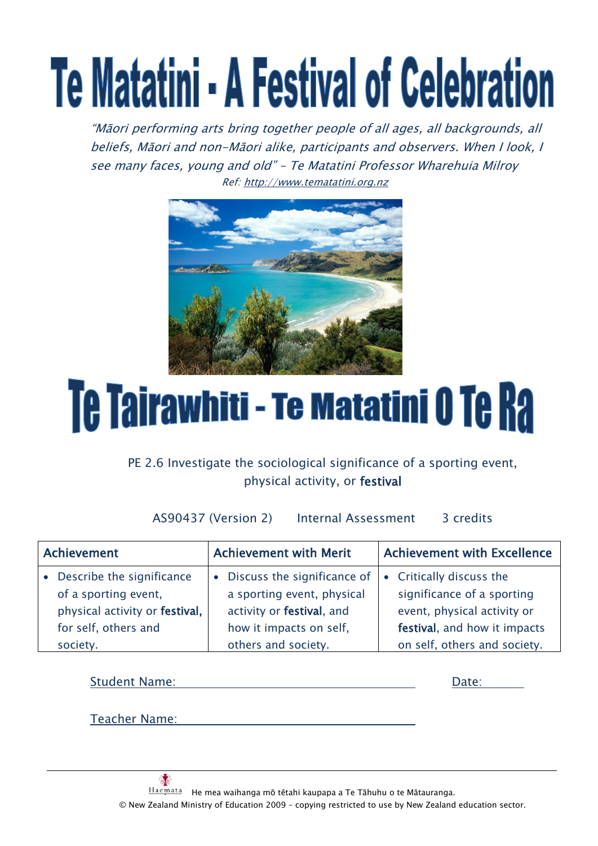# Te Matatini - A Festival of Celebration

"Māori performing arts bring together people of all ages, all backgrounds, all beliefs, Māori and non-Māori alike, participants and observers. When I look, I see many faces, young and old" – Te Matatini Professor Wharehuia Milroy Ref[: http://www.tematatini.org.nz](http://www.tematatini.org.nz/)



# Te Tairawhiti - Te Matatini 0 Te Ra

# PE 2.6 Investigate the sociological significance of a sporting event, physical activity, or festival

AS90437 (Version 2) Internal Assessment 3 credits

| Achievement |                                | <b>Achievement with Merit</b> | <b>Achievement with Excellence</b> |  |
|-------------|--------------------------------|-------------------------------|------------------------------------|--|
|             | Describe the significance      | • Discuss the significance of | • Critically discuss the           |  |
|             | of a sporting event,           | a sporting event, physical    | significance of a sporting         |  |
|             | physical activity or festival, | activity or festival, and     | event, physical activity or        |  |
|             | for self, others and           | how it impacts on self,       | festival, and how it impacts       |  |
|             | society.                       | others and society.           | on self, others and society.       |  |

| <b>Student Name:</b> | Date: |
|----------------------|-------|
|                      |       |
| <b>Teacher Name:</b> |       |

 $\mathbf{A}$ He mea waihanga mō tētahi kaupapa a Te Tāhuhu o te Mātauranga. © New Zealand Ministry of Education 2009 – copying restricted to use by New Zealand education sector.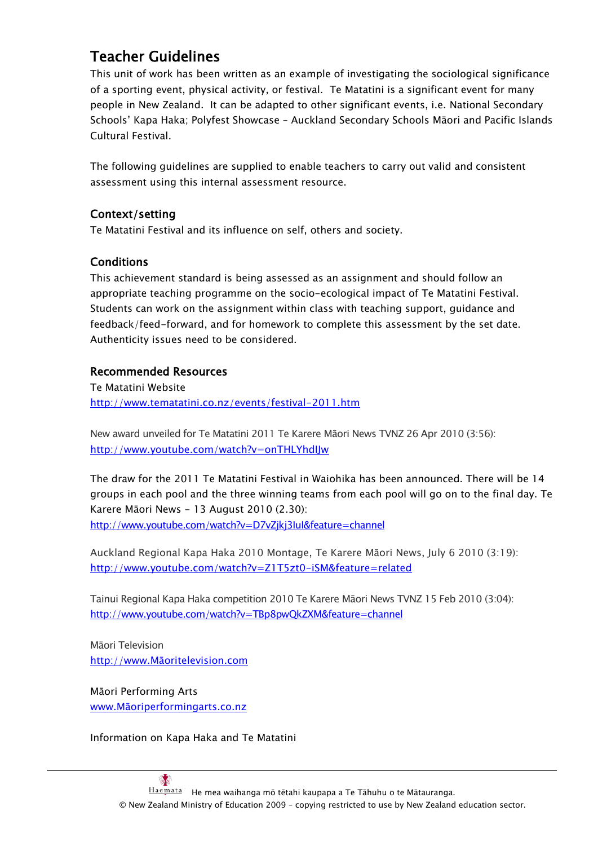# Teacher Guidelines

This unit of work has been written as an example of investigating the sociological significance of a sporting event, physical activity, or festival. Te Matatini is a significant event for many people in New Zealand. It can be adapted to other significant events, i.e. National Secondary Schools" Kapa Haka; Polyfest Showcase – Auckland Secondary Schools Māori and Pacific Islands Cultural Festival.

The following guidelines are supplied to enable teachers to carry out valid and consistent assessment using this internal assessment resource.

# Context/setting

Te Matatini Festival and its influence on self, others and society.

# **Conditions**

This achievement standard is being assessed as an assignment and should follow an appropriate teaching programme on the socio-ecological impact of Te Matatini Festival. Students can work on the assignment within class with teaching support, guidance and feedback/feed-forward, and for homework to complete this assessment by the set date. Authenticity issues need to be considered.

# Recommended Resources

Te Matatini Website <http://www.tematatini.co.nz/events/festival-2011.htm>

New award unveiled for Te Matatini 2011 Te Karere Māori News TVNZ 26 Apr 2010 (3:56): <http://www.youtube.com/watch?v=onTHLYhdIJw>

The draw for the 2011 Te Matatini Festival in Waiohika has been announced. There will be 14 groups in each pool and the three winning teams from each pool will go on to the final day. Te Karere Māori News - 13 August 2010 (2.30): <http://www.youtube.com/watch?v=D7vZjkj3IuI&feature=channel>

Auckland Regional Kapa Haka 2010 Montage, Te Karere Māori News, July 6 2010 (3:19): <http://www.youtube.com/watch?v=Z1T5zt0-iSM&feature=related>

Tainui Regional Kapa Haka competition 2010 Te Karere Māori News TVNZ 15 Feb 2010 (3:04): <http://www.youtube.com/watch?v=TBp8pwQkZXM&feature=channel>

Māori Television http://www.Māori[television.com](http://www.maoritelevision.com/)

Māori Performing Arts www.Māori[performingarts.co.nz](http://www.maoriperformingarts.co.nz/)

Information on Kapa Haka and Te Matatini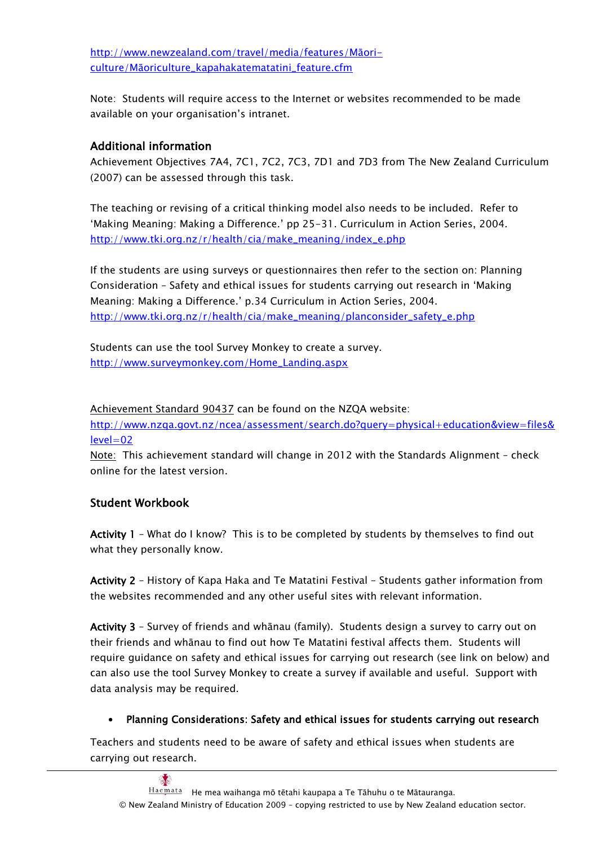[http://www.newzealand.com/travel/media/features/](http://www.newzealand.com/travel/media/features/maori-culture/maoriculture_kapahakatematatini_feature.cfm)Māoriculture/Māori[culture\\_kapahakatematatini\\_feature.cfm](http://www.newzealand.com/travel/media/features/maori-culture/maoriculture_kapahakatematatini_feature.cfm)

Note: Students will require access to the Internet or websites recommended to be made available on your organisation"s intranet.

# Additional information

Achievement Objectives 7A4, 7C1, 7C2, 7C3, 7D1 and 7D3 from The New Zealand Curriculum (2007) can be assessed through this task.

The teaching or revising of a critical thinking model also needs to be included. Refer to 'Making Meaning: Making a Difference.' pp 25-31. Curriculum in Action Series, 2004. [http://www.tki.org.nz/r/health/cia/make\\_meaning/index\\_e.php](http://www.tki.org.nz/r/health/cia/make_meaning/index_e.php)

If the students are using surveys or questionnaires then refer to the section on: Planning Consideration – Safety and ethical issues for students carrying out research in "Making Meaning: Making a Difference." p.34 Curriculum in Action Series, 2004. [http://www.tki.org.nz/r/health/cia/make\\_meaning/planconsider\\_safety\\_e.php](http://www.tki.org.nz/r/health/cia/make_meaning/planconsider_safety_e.php)

Students can use the tool Survey Monkey to create a survey. [http://www.surveymonkey.com/Home\\_Landing.aspx](http://www.surveymonkey.com/Home_Landing.aspx)

Achievement Standard 90437 can be found on the NZQA website:

[http://www.nzqa.govt.nz/ncea/assessment/search.do?query=physical+education&view=files&](http://www.nzqa.govt.nz/ncea/assessment/search.do?query=physical+education&view=files&level=02) [level=02](http://www.nzqa.govt.nz/ncea/assessment/search.do?query=physical+education&view=files&level=02)

Note: This achievement standard will change in 2012 with the Standards Alignment - check online for the latest version.

# Student Workbook

Activity 1 – What do I know? This is to be completed by students by themselves to find out what they personally know.

Activity 2 – History of Kapa Haka and Te Matatini Festival – Students gather information from the websites recommended and any other useful sites with relevant information.

Activity 3 – Survey of friends and whānau (family). Students design a survey to carry out on their friends and whānau to find out how Te Matatini festival affects them. Students will require guidance on safety and ethical issues for carrying out research (see link on below) and can also use the tool Survey Monkey to create a survey if available and useful. Support with data analysis may be required.

# Planning Considerations: Safety and ethical issues for students carrying out research

Teachers and students need to be aware of safety and ethical issues when students are carrying out research.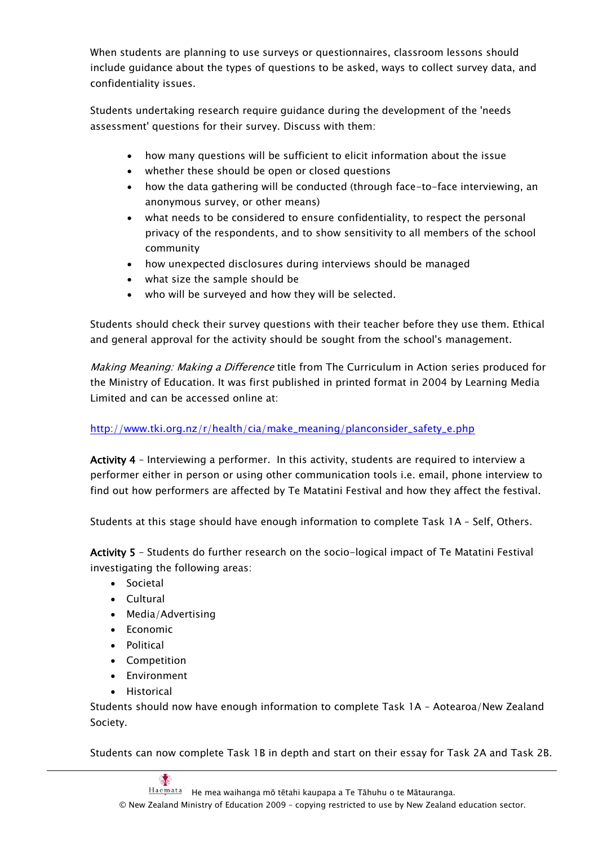When students are planning to use surveys or questionnaires, classroom lessons should include guidance about the types of questions to be asked, ways to collect survey data, and confidentiality issues.

Students undertaking research require guidance during the development of the 'needs assessment' questions for their survey. Discuss with them:

- how many questions will be sufficient to elicit information about the issue
- whether these should be open or closed questions
- how the data gathering will be conducted (through face-to-face interviewing, an anonymous survey, or other means)
- what needs to be considered to ensure confidentiality, to respect the personal privacy of the respondents, and to show sensitivity to all members of the school community
- how unexpected disclosures during interviews should be managed
- what size the sample should be
- who will be surveyed and how they will be selected.

Students should check their survey questions with their teacher before they use them. Ethical and general approval for the activity should be sought from the school's management.

Making Meaning: Making a Difference title from The Curriculum in Action series produced for the Ministry of Education. It was first published in printed format in 2004 by Learning Media Limited and can be accessed online at:

# [http://www.tki.org.nz/r/health/cia/make\\_meaning/planconsider\\_safety\\_e.php](http://www.tki.org.nz/r/health/cia/make_meaning/planconsider_safety_e.php)

Activity 4 - Interviewing a performer. In this activity, students are required to interview a performer either in person or using other communication tools i.e. email, phone interview to find out how performers are affected by Te Matatini Festival and how they affect the festival.

Students at this stage should have enough information to complete Task 1A – Self, Others.

Activity 5 – Students do further research on the socio-logical impact of Te Matatini Festival investigating the following areas:

- Societal
- Cultural
- Media/Advertising
- Economic
- Political
- Competition
- Environment
- **•** Historical

Students should now have enough information to complete Task 1A – Aotearoa/New Zealand Society.

Students can now complete Task 1B in depth and start on their essay for Task 2A and Task 2B.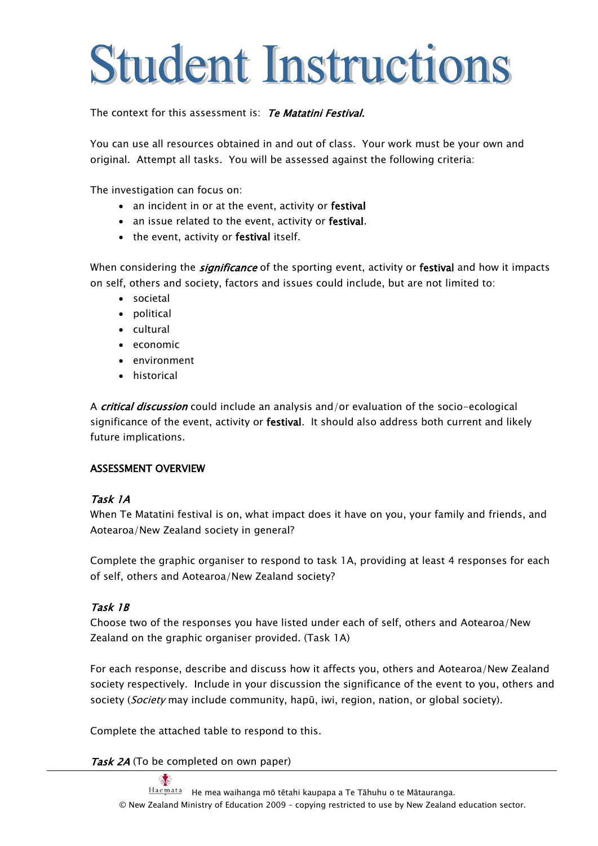# **Student Instructions**

The context for this assessment is: Te Matatini Festival.

You can use all resources obtained in and out of class. Your work must be your own and original. Attempt all tasks. You will be assessed against the following criteria:

The investigation can focus on:

- an incident in or at the event, activity or festival
- an issue related to the event, activity or festival.
- the event, activity or festival itself.

When considering the *significance* of the sporting event, activity or **festival** and how it impacts on self, others and society, factors and issues could include, but are not limited to:

- societal
- political
- cultural
- economic
- environment
- historical

A *critical discussion* could include an analysis and/or evaluation of the socio-ecological significance of the event, activity or festival. It should also address both current and likely future implications.

# ASSESSMENT OVERVIEW

### Task 1A

When Te Matatini festival is on, what impact does it have on you, your family and friends, and Aotearoa/New Zealand society in general?

Complete the graphic organiser to respond to task 1A, providing at least 4 responses for each of self, others and Aotearoa/New Zealand society?

# Task 1B

Choose two of the responses you have listed under each of self, others and Aotearoa/New Zealand on the graphic organiser provided. (Task 1A)

For each response, describe and discuss how it affects you, others and Aotearoa/New Zealand society respectively. Include in your discussion the significance of the event to you, others and society (Society may include community, hapū, iwi, region, nation, or global society).

Complete the attached table to respond to this.

Task 2A (To be completed on own paper)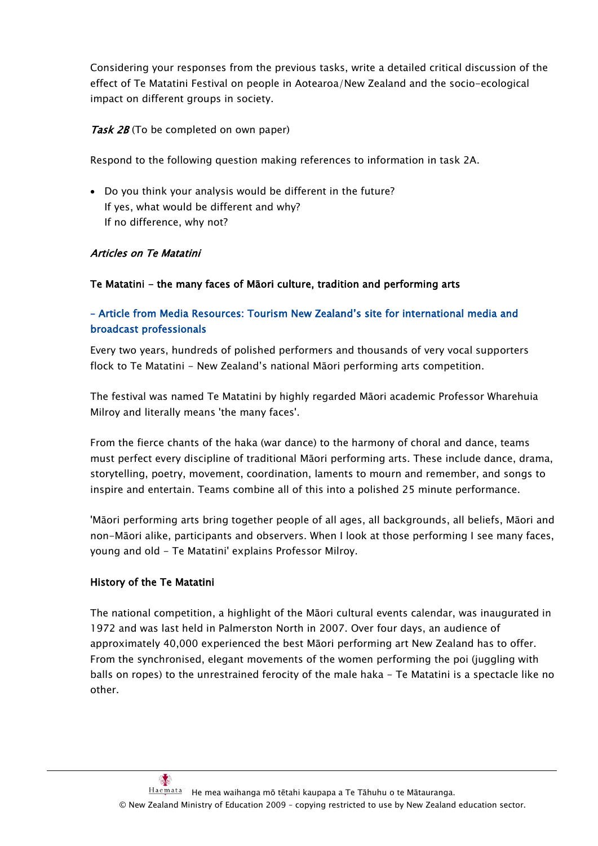Considering your responses from the previous tasks, write a detailed critical discussion of the effect of Te Matatini Festival on people in Aotearoa/New Zealand and the socio-ecological impact on different groups in society.

Task 2B (To be completed on own paper)

Respond to the following question making references to information in task 2A.

 Do you think your analysis would be different in the future? If yes, what would be different and why? If no difference, why not?

## Articles on Te Matatini

## Te Matatini - the many faces of Māori culture, tradition and performing arts

# – Article from Media Resources: Tourism New Zealand"s site for international media and broadcast professionals

Every two years, hundreds of polished performers and thousands of very vocal supporters flock to Te Matatini - New Zealand"s national Māori performing arts competition.

The festival was named Te Matatini by highly regarded Māori academic Professor Wharehuia Milroy and literally means 'the many faces'.

From the fierce chants of the haka (war dance) to the harmony of choral and dance, teams must perfect every discipline of traditional Māori performing arts. These include dance, drama, storytelling, poetry, movement, coordination, laments to mourn and remember, and songs to inspire and entertain. Teams combine all of this into a polished 25 minute performance.

'Māori performing arts bring together people of all ages, all backgrounds, all beliefs, Māori and non-Māori alike, participants and observers. When I look at those performing I see many faces, young and old - Te Matatini' explains Professor Milroy.

### History of the Te Matatini

The national competition, a highlight of the Māori cultural events calendar, was inaugurated in 1972 and was last held in Palmerston North in 2007. Over four days, an audience of approximately 40,000 experienced the best Māori performing art New Zealand has to offer. From the synchronised, elegant movements of the women performing the poi (juggling with balls on ropes) to the unrestrained ferocity of the male haka - Te Matatini is a spectacle like no other.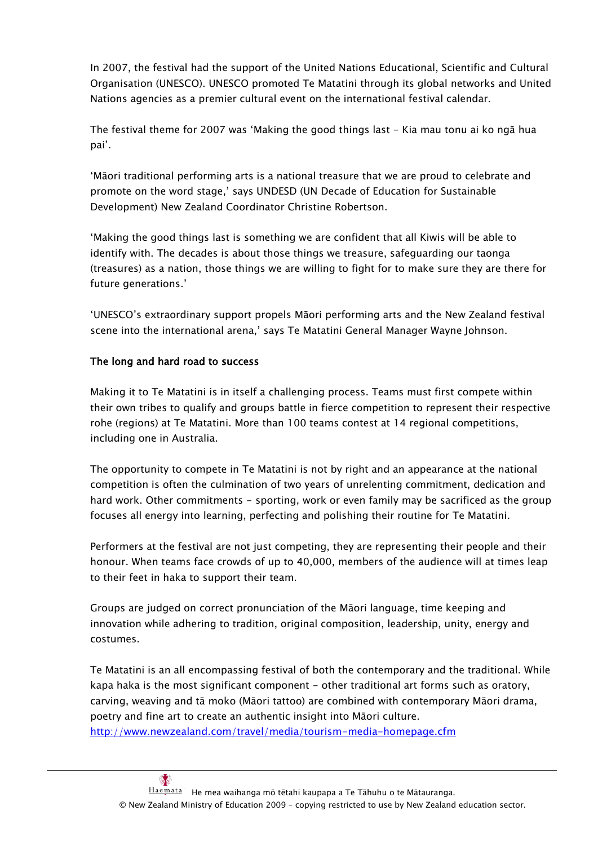In 2007, the festival had the support of the United Nations Educational, Scientific and Cultural Organisation (UNESCO). UNESCO promoted Te Matatini through its global networks and United Nations agencies as a premier cultural event on the international festival calendar.

The festival theme for 2007 was "Making the good things last - Kia mau tonu ai ko ngā hua pai".

"Māori traditional performing arts is a national treasure that we are proud to celebrate and promote on the word stage," says UNDESD (UN Decade of Education for Sustainable Development) New Zealand Coordinator Christine Robertson.

"Making the good things last is something we are confident that all Kiwis will be able to identify with. The decades is about those things we treasure, safeguarding our taonga (treasures) as a nation, those things we are willing to fight for to make sure they are there for future generations."

"UNESCO"s extraordinary support propels Māori performing arts and the New Zealand festival scene into the international arena,' says Te Matatini General Manager Wayne Johnson.

# The long and hard road to success

Making it to Te Matatini is in itself a challenging process. Teams must first compete within their own tribes to qualify and groups battle in fierce competition to represent their respective rohe (regions) at Te Matatini. More than 100 teams contest at 14 regional competitions, including one in Australia.

The opportunity to compete in Te Matatini is not by right and an appearance at the national competition is often the culmination of two years of unrelenting commitment, dedication and hard work. Other commitments - sporting, work or even family may be sacrificed as the group focuses all energy into learning, perfecting and polishing their routine for Te Matatini.

Performers at the festival are not just competing, they are representing their people and their honour. When teams face crowds of up to 40,000, members of the audience will at times leap to their feet in haka to support their team.

Groups are judged on correct pronunciation of the Māori language, time keeping and innovation while adhering to tradition, original composition, leadership, unity, energy and costumes.

Te Matatini is an all encompassing festival of both the contemporary and the traditional. While kapa haka is the most significant component - other traditional art forms such as oratory, carving, weaving and tā moko (Māori tattoo) are combined with contemporary Māori drama, poetry and fine art to create an authentic insight into Māori culture. <http://www.newzealand.com/travel/media/tourism-media-homepage.cfm>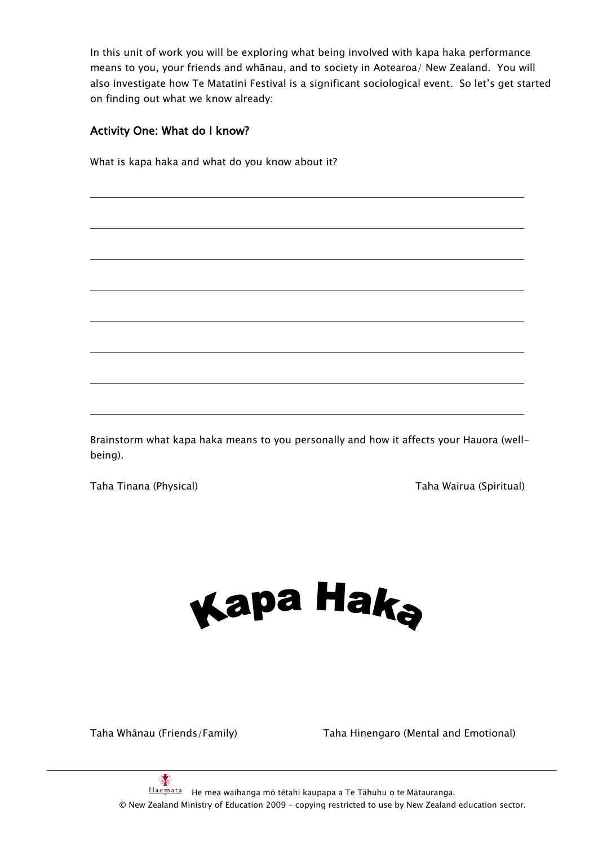In this unit of work you will be exploring what being involved with kapa haka performance means to you, your friends and whānau, and to society in Aotearoa/ New Zealand. You will also investigate how Te Matatini Festival is a significant sociological event. So let"s get started on finding out what we know already:

# Activity One: What do I know?

What is kapa haka and what do you know about it?

Brainstorm what kapa haka means to you personally and how it affects your Hauora (wellbeing).

Taha Tinana (Physical) Taha Wairua (Spiritual)



Taha Whānau (Friends/Family) Taha Hinengaro (Mental and Emotional)

 $\frac{1}{2}$ He mea waihanga mō tētahi kaupapa a Te Tāhuhu o te Mātauranga. © New Zealand Ministry of Education 2009 – copying restricted to use by New Zealand education sector.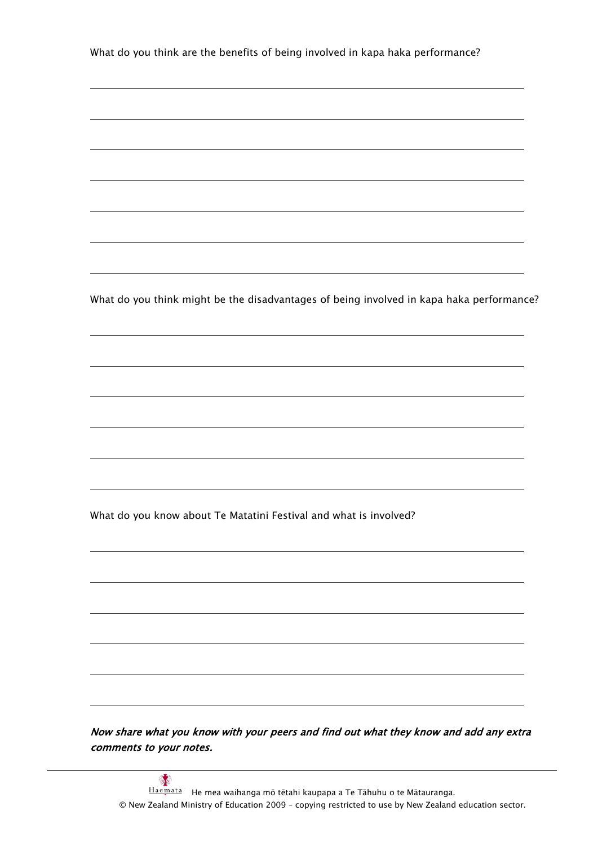What do you think are the benefits of being involved in kapa haka performance?

What do you think might be the disadvantages of being involved in kapa haka performance?

What do you know about Te Matatini Festival and what is involved?

Now share what you know with your peers and find out what they know and add any extra comments to your notes.

 $\frac{1}{2}$ He mea waihanga mō tētahi kaupapa a Te Tāhuhu o te Mātauranga. © New Zealand Ministry of Education 2009 – copying restricted to use by New Zealand education sector.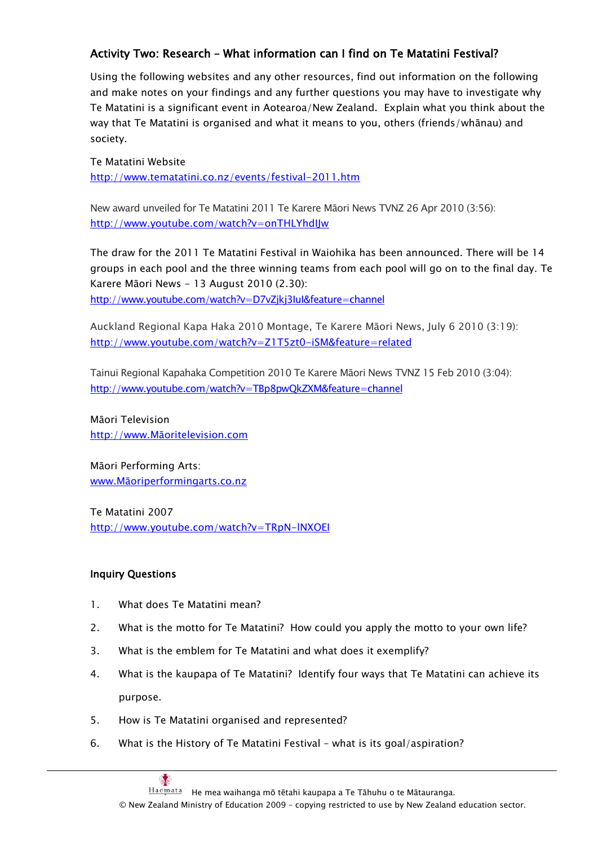# Activity Two: Research – What information can I find on Te Matatini Festival?

Using the following websites and any other resources, find out information on the following and make notes on your findings and any further questions you may have to investigate why Te Matatini is a significant event in Aotearoa/New Zealand. Explain what you think about the way that Te Matatini is organised and what it means to you, others (friends/whānau) and society.

### Te Matatini Website

<http://www.tematatini.co.nz/events/festival-2011.htm>

New award unveiled for Te Matatini 2011 Te Karere Māori News TVNZ 26 Apr 2010 (3:56): <http://www.youtube.com/watch?v=onTHLYhdIJw>

The draw for the 2011 Te Matatini Festival in Waiohika has been announced. There will be 14 groups in each pool and the three winning teams from each pool will go on to the final day. Te Karere Māori News - 13 August 2010 (2.30): <http://www.youtube.com/watch?v=D7vZjkj3IuI&feature=channel>

Auckland Regional Kapa Haka 2010 Montage, Te Karere Māori News, July 6 2010 (3:19): <http://www.youtube.com/watch?v=Z1T5zt0-iSM&feature=related>

Tainui Regional Kapahaka Competition 2010 Te Karere Māori News TVNZ 15 Feb 2010 (3:04): <http://www.youtube.com/watch?v=TBp8pwQkZXM&feature=channel>

Māori Television http://www.Māori[television.com](http://www.maoritelevision.com/)

Māori Performing Arts: www.Māori[performingarts.co.nz](http://www.maoriperformingarts.co.nz/)

Te Matatini 2007 <http://www.youtube.com/watch?v=TRpN-lNXOEI>

# Inquiry Questions

- 1. What does Te Matatini mean?
- 2. What is the motto for Te Matatini? How could you apply the motto to your own life?
- 3. What is the emblem for Te Matatini and what does it exemplify?
- 4. What is the kaupapa of Te Matatini? Identify four ways that Te Matatini can achieve its purpose.
- 5. How is Te Matatini organised and represented?
- 6. What is the History of Te Matatini Festival what is its goal/aspiration?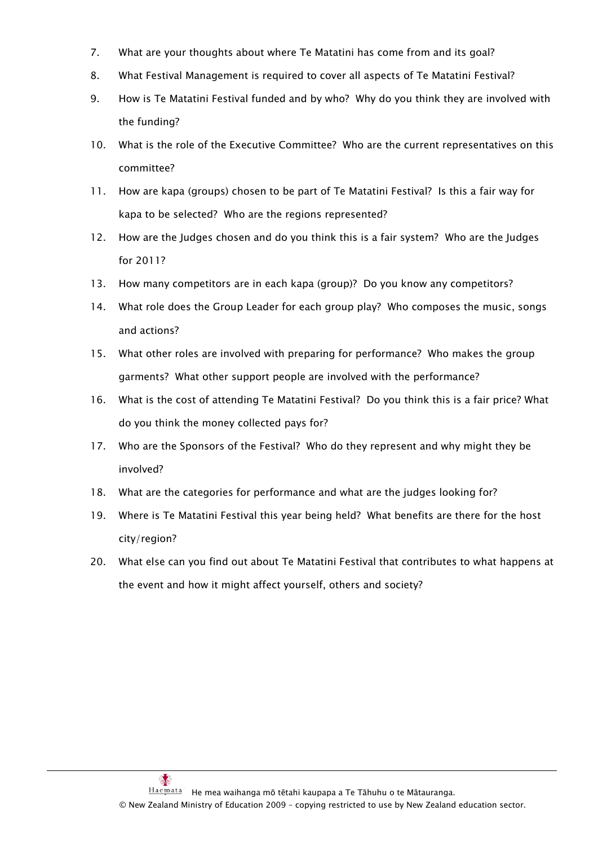- 7. What are your thoughts about where Te Matatini has come from and its goal?
- 8. What Festival Management is required to cover all aspects of Te Matatini Festival?
- 9. How is Te Matatini Festival funded and by who? Why do you think they are involved with the funding?
- 10. What is the role of the Executive Committee? Who are the current representatives on this committee?
- 11. How are kapa (groups) chosen to be part of Te Matatini Festival? Is this a fair way for kapa to be selected? Who are the regions represented?
- 12. How are the Judges chosen and do you think this is a fair system? Who are the Judges for 2011?
- 13. How many competitors are in each kapa (group)? Do you know any competitors?
- 14. What role does the Group Leader for each group play? Who composes the music, songs and actions?
- 15. What other roles are involved with preparing for performance? Who makes the group garments? What other support people are involved with the performance?
- 16. What is the cost of attending Te Matatini Festival? Do you think this is a fair price? What do you think the money collected pays for?
- 17. Who are the Sponsors of the Festival? Who do they represent and why might they be involved?
- 18. What are the categories for performance and what are the judges looking for?
- 19. Where is Te Matatini Festival this year being held? What benefits are there for the host city/region?
- 20. What else can you find out about Te Matatini Festival that contributes to what happens at the event and how it might affect yourself, others and society?

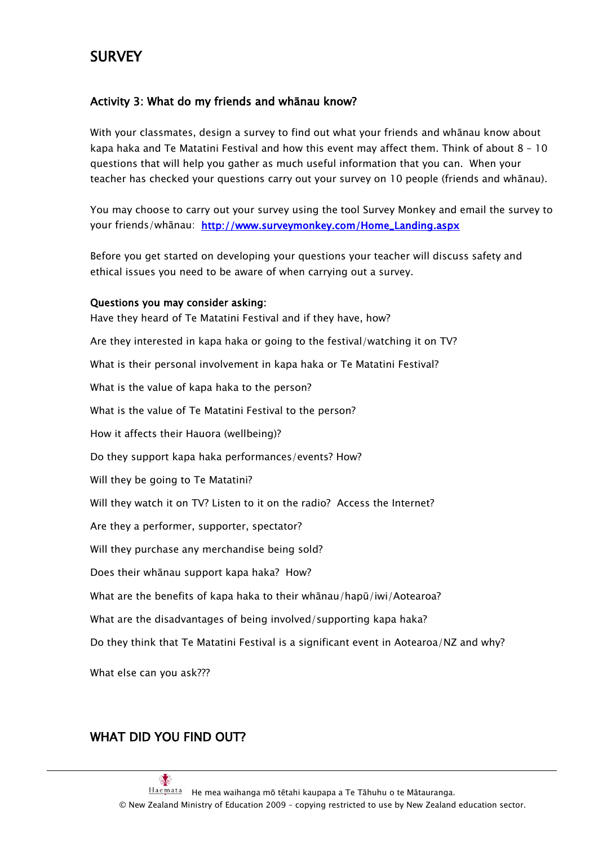# **SURVEY**

# Activity 3: What do my friends and whānau know?

With your classmates, design a survey to find out what your friends and whānau know about kapa haka and Te Matatini Festival and how this event may affect them. Think of about 8 – 10 questions that will help you gather as much useful information that you can. When your teacher has checked your questions carry out your survey on 10 people (friends and whānau).

You may choose to carry out your survey using the tool Survey Monkey and email the survey to your friends/whānau: [http://www.surveymonkey.com/Home\\_Landing.aspx](http://www.surveymonkey.com/Home_Landing.aspx)

Before you get started on developing your questions your teacher will discuss safety and ethical issues you need to be aware of when carrying out a survey.

## Questions you may consider asking:

Have they heard of Te Matatini Festival and if they have, how? Are they interested in kapa haka or going to the festival/watching it on TV? What is their personal involvement in kapa haka or Te Matatini Festival? What is the value of kapa haka to the person? What is the value of Te Matatini Festival to the person? How it affects their Hauora (wellbeing)? Do they support kapa haka performances/events? How? Will they be going to Te Matatini? Will they watch it on TV? Listen to it on the radio? Access the Internet? Are they a performer, supporter, spectator? Will they purchase any merchandise being sold? Does their whānau support kapa haka? How? What are the benefits of kapa haka to their whānau/hapū/iwi/Aotearoa? What are the disadvantages of being involved/supporting kapa haka? Do they think that Te Matatini Festival is a significant event in Aotearoa/NZ and why?

What else can you ask???

# WHAT DID YOU FIND OUT?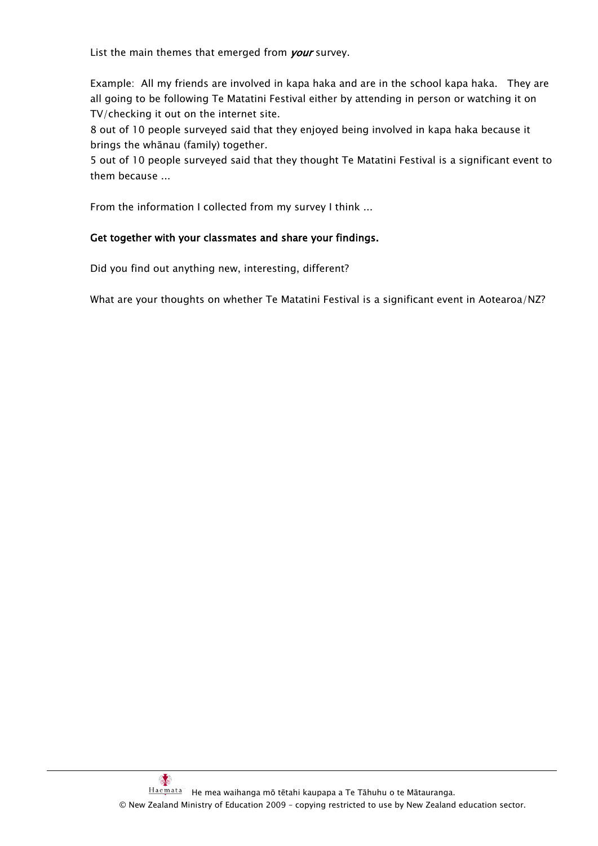List the main themes that emerged from your survey.

Example: All my friends are involved in kapa haka and are in the school kapa haka. They are all going to be following Te Matatini Festival either by attending in person or watching it on TV/checking it out on the internet site.

8 out of 10 people surveyed said that they enjoyed being involved in kapa haka because it brings the whānau (family) together.

5 out of 10 people surveyed said that they thought Te Matatini Festival is a significant event to them because ...

From the information I collected from my survey I think ...

### Get together with your classmates and share your findings.

Did you find out anything new, interesting, different?

What are your thoughts on whether Te Matatini Festival is a significant event in Aotearoa/NZ?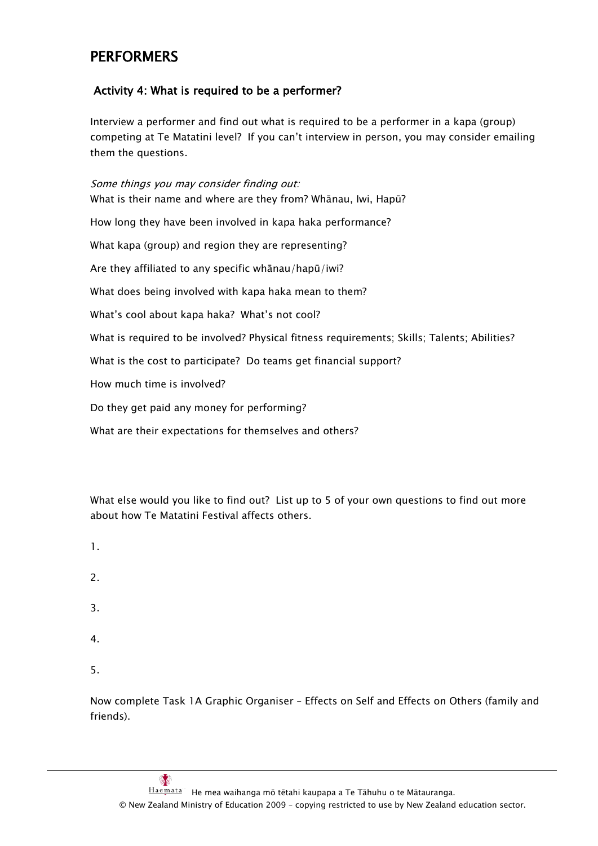# **PERFORMERS**

# Activity 4: What is required to be a performer?

Interview a performer and find out what is required to be a performer in a kapa (group) competing at Te Matatini level? If you can"t interview in person, you may consider emailing them the questions.

Some things you may consider finding out: What is their name and where are they from? Whānau, Iwi, Hapū? How long they have been involved in kapa haka performance? What kapa (group) and region they are representing? Are they affiliated to any specific whānau/hapū/iwi? What does being involved with kapa haka mean to them? What"s cool about kapa haka? What"s not cool? What is required to be involved? Physical fitness requirements; Skills; Talents; Abilities? What is the cost to participate? Do teams get financial support? How much time is involved? Do they get paid any money for performing? What are their expectations for themselves and others?

What else would you like to find out? List up to 5 of your own questions to find out more about how Te Matatini Festival affects others.

- 1.
- 2.
- 
- 3.
- 4.
- 5.

Now complete Task 1A Graphic Organiser – Effects on Self and Effects on Others (family and friends).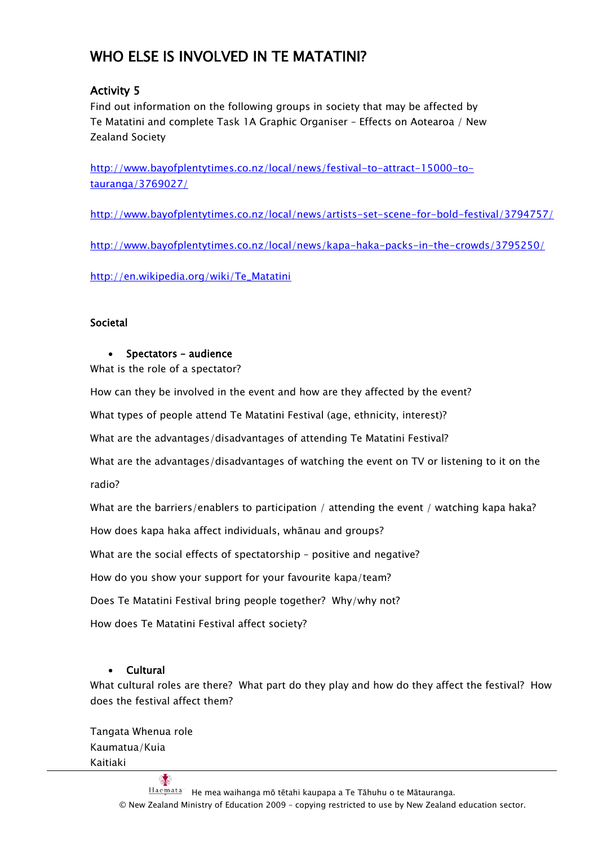# WHO ELSE IS INVOLVED IN TE MATATINI?

# Activity 5

Find out information on the following groups in society that may be affected by Te Matatini and complete Task 1A Graphic Organiser – Effects on Aotearoa / New Zealand Society

[http://www.bayofplentytimes.co.nz/local/news/festival-to-attract-15000-to](http://www.bayofplentytimes.co.nz/local/news/festival-to-attract-15000-to-tauranga/3769027/)[tauranga/3769027/](http://www.bayofplentytimes.co.nz/local/news/festival-to-attract-15000-to-tauranga/3769027/)

<http://www.bayofplentytimes.co.nz/local/news/artists-set-scene-for-bold-festival/3794757/>

<http://www.bayofplentytimes.co.nz/local/news/kapa-haka-packs-in-the-crowds/3795250/>

[http://en.wikipedia.org/wiki/Te\\_Matatini](http://en.wikipedia.org/wiki/Te_Matatini)

# Societal

# • Spectators – audience

What is the role of a spectator?

How can they be involved in the event and how are they affected by the event?

What types of people attend Te Matatini Festival (age, ethnicity, interest)?

What are the advantages/disadvantages of attending Te Matatini Festival?

What are the advantages/disadvantages of watching the event on TV or listening to it on the radio?

What are the barriers/enablers to participation / attending the event / watching kapa haka?

How does kapa haka affect individuals, whānau and groups?

What are the social effects of spectatorship – positive and negative?

How do you show your support for your favourite kapa/team?

Does Te Matatini Festival bring people together? Why/why not?

How does Te Matatini Festival affect society?

# Cultural

What cultural roles are there? What part do they play and how do they affect the festival? How does the festival affect them?

Tangata Whenua role Kaumatua/Kuia Kaitiaki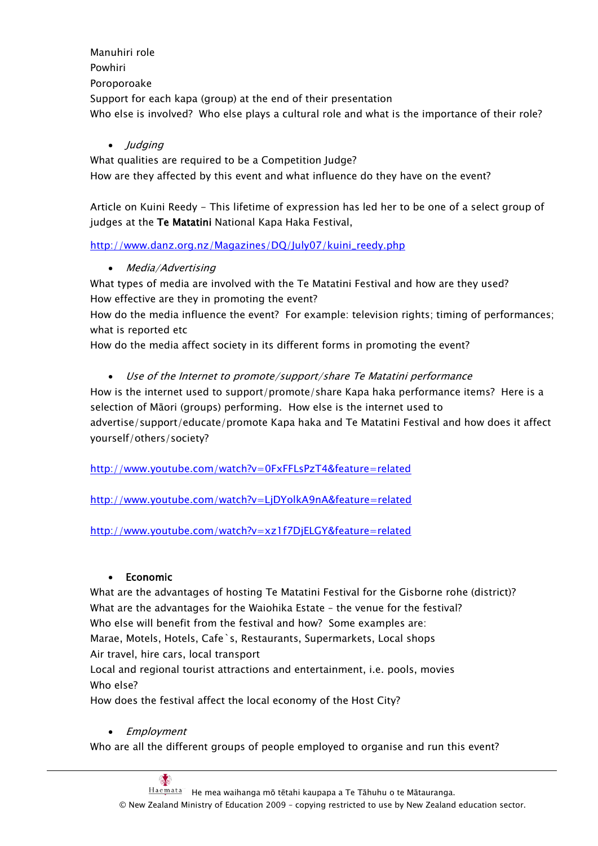Manuhiri role Powhiri Poroporoake Support for each kapa (group) at the end of their presentation Who else is involved? Who else plays a cultural role and what is the importance of their role?

• Judging

What qualities are required to be a Competition Judge? How are they affected by this event and what influence do they have on the event?

Article on Kuini Reedy - This lifetime of expression has led her to be one of a select group of judges at the Te Matatini National Kapa Haka Festival,

[http://www.danz.org.nz/Magazines/DQ/July07/kuini\\_reedy.php](http://www.danz.org.nz/Magazines/DQ/July07/kuini_reedy.php)

• Media/Advertising

What types of media are involved with the Te Matatini Festival and how are they used? How effective are they in promoting the event?

How do the media influence the event? For example: television rights; timing of performances; what is reported etc

How do the media affect society in its different forms in promoting the event?

Use of the Internet to promote/support/share Te Matatini performance

How is the internet used to support/promote/share Kapa haka performance items? Here is a selection of Māori (groups) performing. How else is the internet used to advertise/support/educate/promote Kapa haka and Te Matatini Festival and how does it affect yourself/others/society?

<http://www.youtube.com/watch?v=0FxFFLsPzT4&feature=related>

<http://www.youtube.com/watch?v=LjDYolkA9nA&feature=related>

<http://www.youtube.com/watch?v=xz1f7DjELGY&feature=related>

# Economic

What are the advantages of hosting Te Matatini Festival for the Gisborne rohe (district)? What are the advantages for the Waiohika Estate – the venue for the festival? Who else will benefit from the festival and how? Some examples are: Marae, Motels, Hotels, Cafe`s, Restaurants, Supermarkets, Local shops Air travel, hire cars, local transport

Local and regional tourist attractions and entertainment, i.e. pools, movies Who else?

How does the festival affect the local economy of the Host City?

# • Employment

Who are all the different groups of people employed to organise and run this event?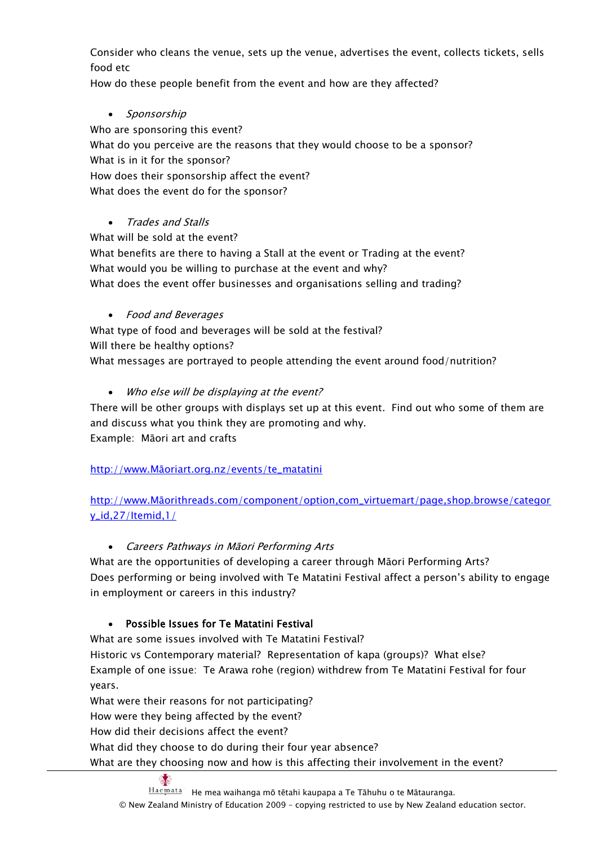Consider who cleans the venue, sets up the venue, advertises the event, collects tickets, sells food etc

How do these people benefit from the event and how are they affected?

• Sponsorship

Who are sponsoring this event? What do you perceive are the reasons that they would choose to be a sponsor? What is in it for the sponsor? How does their sponsorship affect the event? What does the event do for the sponsor?

# Trades and Stalls

What will be sold at the event? What benefits are there to having a Stall at the event or Trading at the event? What would you be willing to purchase at the event and why? What does the event offer businesses and organisations selling and trading?

# Food and Beverages

What type of food and beverages will be sold at the festival? Will there be healthy options? What messages are portrayed to people attending the event around food/nutrition?

• Who else will be displaying at the event?

There will be other groups with displays set up at this event. Find out who some of them are and discuss what you think they are promoting and why. Example: Māori art and crafts

http://www.Māori[art.org.nz/events/te\\_matatini](http://www.maoriart.org.nz/events/te_matatini)

http://www.Māori[threads.com/component/option,com\\_virtuemart/page,shop.browse/categor](http://www.maorithreads.com/component/option,com_virtuemart/page,shop.browse/category_id,27/Itemid,1/) [y\\_id,27/Itemid,1/](http://www.maorithreads.com/component/option,com_virtuemart/page,shop.browse/category_id,27/Itemid,1/)

# Careers Pathways in Māori Performing Arts

What are the opportunities of developing a career through Māori Performing Arts? Does performing or being involved with Te Matatini Festival affect a person"s ability to engage in employment or careers in this industry?

# Possible Issues for Te Matatini Festival

What are some issues involved with Te Matatini Festival? Historic vs Contemporary material? Representation of kapa (groups)? What else? Example of one issue: Te Arawa rohe (region) withdrew from Te Matatini Festival for four years.

What were their reasons for not participating? How were they being affected by the event? How did their decisions affect the event?

What did they choose to do during their four year absence?

What are they choosing now and how is this affecting their involvement in the event?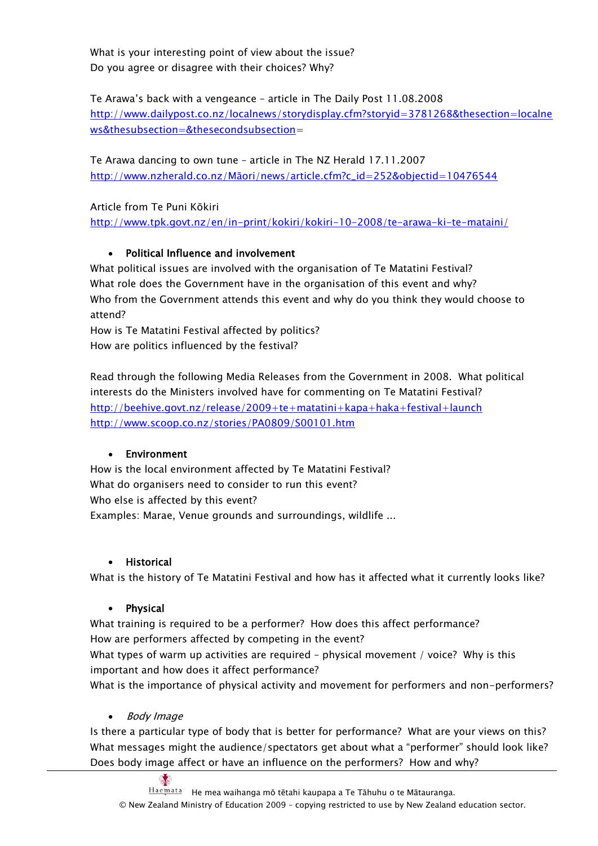What is your interesting point of view about the issue? Do you agree or disagree with their choices? Why?

Te Arawa"s back with a vengeance – article in The Daily Post 11.08.2008 [http://www.dailypost.co.nz/localnews/storydisplay.cfm?storyid=3781268&thesection=localne](http://www.dailypost.co.nz/localnews/storydisplay.cfm?storyid=3781268&thesection=localnews&thesubsection=&thesecondsubsection) [ws&thesubsection=&thesecondsubsection=](http://www.dailypost.co.nz/localnews/storydisplay.cfm?storyid=3781268&thesection=localnews&thesubsection=&thesecondsubsection)

Te Arawa dancing to own tune – article in The NZ Herald 17.11.2007 http://www.nzherald.co.nz/Māori[/news/article.cfm?c\\_id=252&objectid=10476544](http://www.nzherald.co.nz/maori/news/article.cfm?c_id=252&objectid=10476544)

Article from Te Puni Kōkiri <http://www.tpk.govt.nz/en/in-print/kokiri/kokiri-10-2008/te-arawa-ki-te-mataini/>

# Political Influence and involvement

What political issues are involved with the organisation of Te Matatini Festival? What role does the Government have in the organisation of this event and why? Who from the Government attends this event and why do you think they would choose to attend?

How is Te Matatini Festival affected by politics? How are politics influenced by the festival?

Read through the following Media Releases from the Government in 2008. What political interests do the Ministers involved have for commenting on Te Matatini Festival? <http://beehive.govt.nz/release/2009+te+matatini+kapa+haka+festival+launch> <http://www.scoop.co.nz/stories/PA0809/S00101.htm>

# Environment

How is the local environment affected by Te Matatini Festival? What do organisers need to consider to run this event? Who else is affected by this event? Examples: Marae, Venue grounds and surroundings, wildlife ...

# Historical

What is the history of Te Matatini Festival and how has it affected what it currently looks like?

# • Physical

What training is required to be a performer? How does this affect performance? How are performers affected by competing in the event?

What types of warm up activities are required - physical movement / voice? Why is this important and how does it affect performance?

What is the importance of physical activity and movement for performers and non-performers?

# • Body Image

 $\mathbb{R}^2$ 

Is there a particular type of body that is better for performance? What are your views on this? What messages might the audience/spectators get about what a "performer" should look like? Does body image affect or have an influence on the performers? How and why?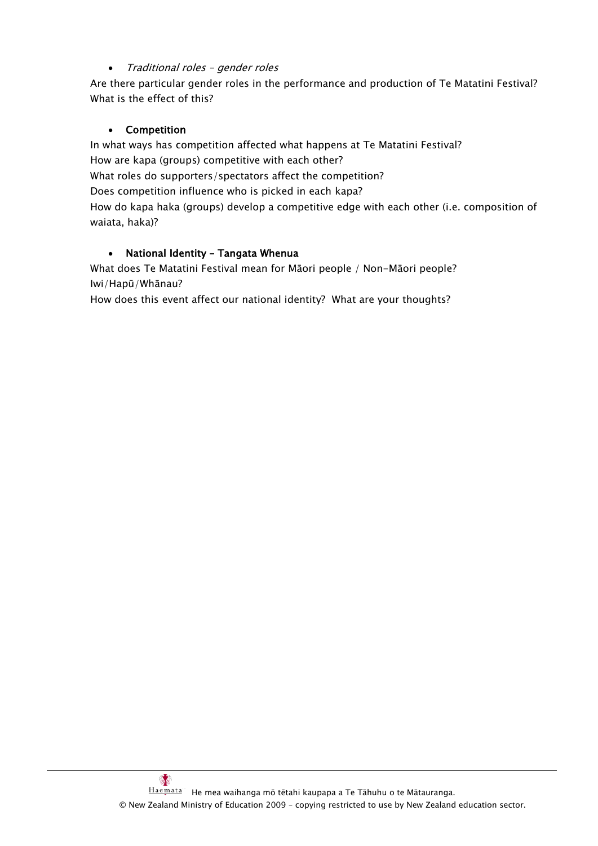# Traditional roles – gender roles

Are there particular gender roles in the performance and production of Te Matatini Festival? What is the effect of this?

# Competition

In what ways has competition affected what happens at Te Matatini Festival? How are kapa (groups) competitive with each other? What roles do supporters/spectators affect the competition? Does competition influence who is picked in each kapa? How do kapa haka (groups) develop a competitive edge with each other (i.e. composition of waiata, haka)?

# • National Identity - Tangata Whenua

What does Te Matatini Festival mean for Māori people / Non-Māori people? Iwi/Hapū/Whānau?

How does this event affect our national identity? What are your thoughts?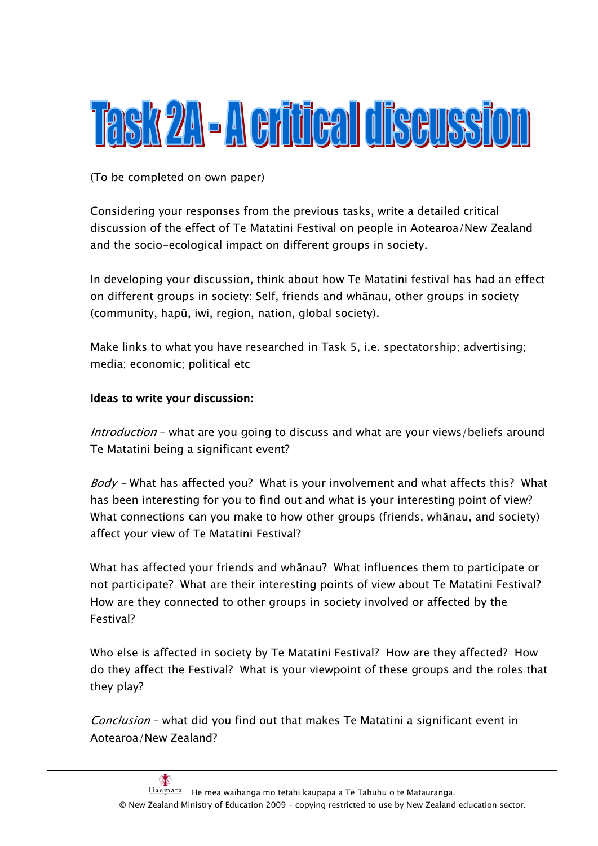# Task 211 - A critical discussion

(To be completed on own paper)

Considering your responses from the previous tasks, write a detailed critical discussion of the effect of Te Matatini Festival on people in Aotearoa/New Zealand and the socio-ecological impact on different groups in society.

In developing your discussion, think about how Te Matatini festival has had an effect on different groups in society: Self, friends and whānau, other groups in society (community, hapū, iwi, region, nation, global society).

Make links to what you have researched in Task 5, i.e. spectatorship; advertising; media; economic; political etc

# Ideas to write your discussion:

Introduction – what are you going to discuss and what are your views/beliefs around Te Matatini being a significant event?

Body - What has affected you? What is your involvement and what affects this? What has been interesting for you to find out and what is your interesting point of view? What connections can you make to how other groups (friends, whānau, and society) affect your view of Te Matatini Festival?

What has affected your friends and whānau? What influences them to participate or not participate? What are their interesting points of view about Te Matatini Festival? How are they connected to other groups in society involved or affected by the Festival?

Who else is affected in society by Te Matatini Festival? How are they affected? How do they affect the Festival? What is your viewpoint of these groups and the roles that they play?

Conclusion – what did you find out that makes Te Matatini a significant event in Aotearoa/New Zealand?

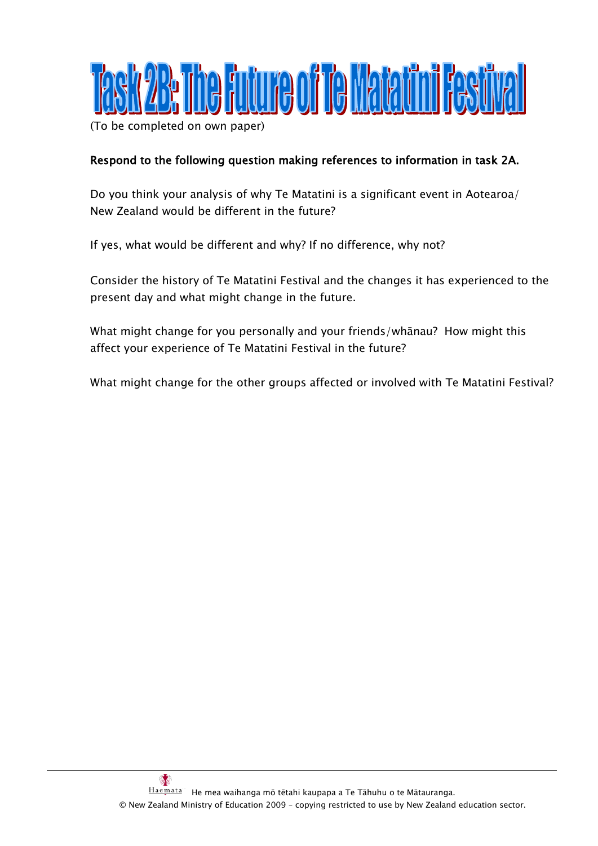

(To be completed on own paper)

# Respond to the following question making references to information in task 2A.

Do you think your analysis of why Te Matatini is a significant event in Aotearoa/ New Zealand would be different in the future?

If yes, what would be different and why? If no difference, why not?

Consider the history of Te Matatini Festival and the changes it has experienced to the present day and what might change in the future.

What might change for you personally and your friends/whānau? How might this affect your experience of Te Matatini Festival in the future?

What might change for the other groups affected or involved with Te Matatini Festival?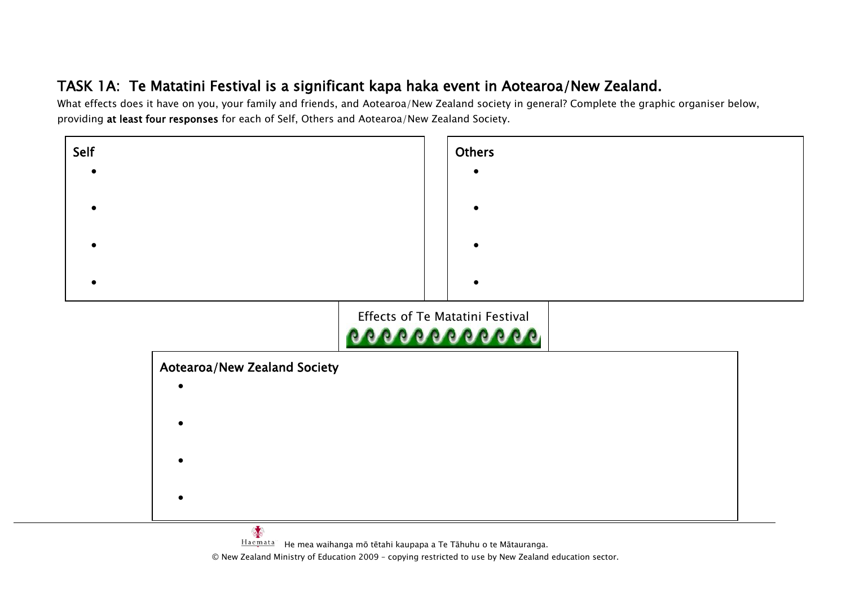# TASK 1A: Te Matatini Festival is a significant kapa haka event in Aotearoa/New Zealand.

What effects does it have on you, your family and friends, and Aotearoa/New Zealand society in general? Complete the graphic organiser below, providing at least four responses for each of Self, Others and Aotearoa/New Zealand Society.



Haemata<sup>"</sup> He mea waihanga mō tētahi kaupapa a Te Tāhuhu o te Mātauranga.

© New Zealand Ministry of Education 2009 – copying restricted to use by New Zealand education sector.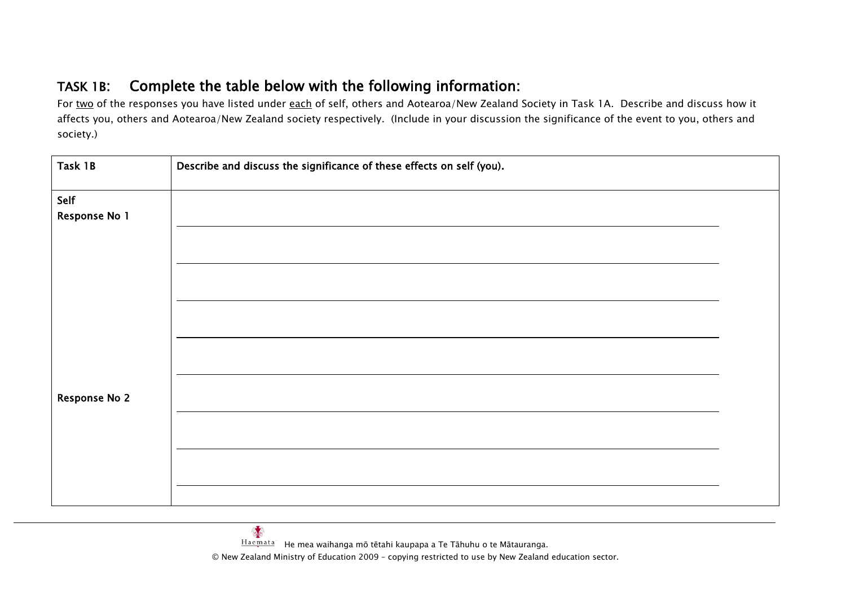# TASK 1B: Complete the table below with the following information:

For two of the responses you have listed under each of self, others and Aotearoa/New Zealand Society in Task 1A. Describe and discuss how it affects you, others and Aotearoa/New Zealand society respectively. (Include in your discussion the significance of the event to you, others and society.)

| Describe and discuss the significance of these effects on self (you). |  |  |
|-----------------------------------------------------------------------|--|--|
|                                                                       |  |  |
|                                                                       |  |  |
|                                                                       |  |  |
|                                                                       |  |  |
|                                                                       |  |  |
|                                                                       |  |  |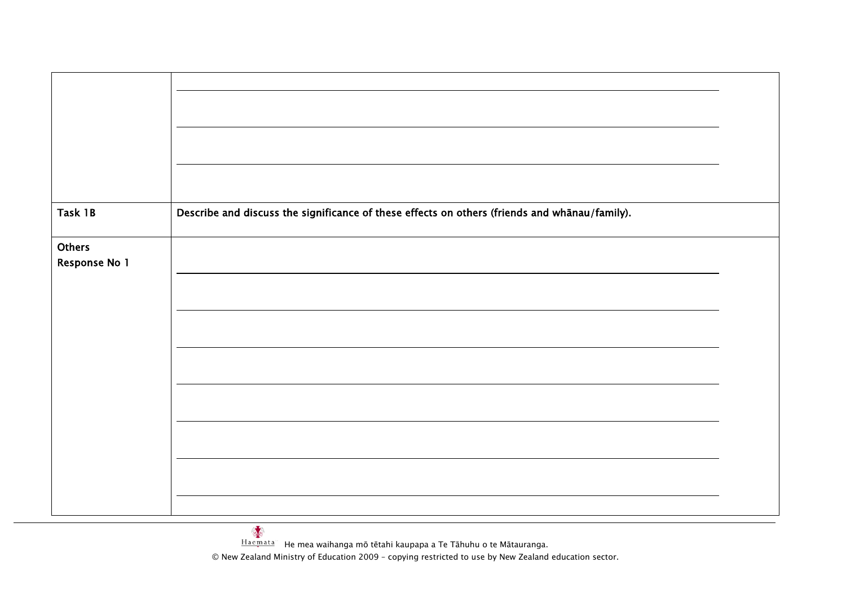| Task 1B                 | Describe and discuss the significance of these effects on others (friends and whānau/family). |  |
|-------------------------|-----------------------------------------------------------------------------------------------|--|
| Others<br>Response No 1 |                                                                                               |  |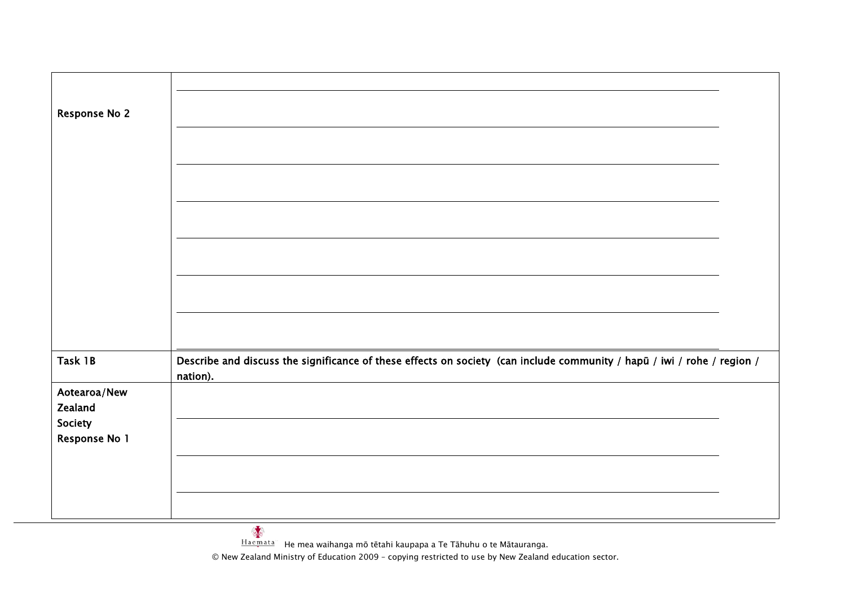| <b>Response No 2</b>                                           |                                                                                                                                     |  |
|----------------------------------------------------------------|-------------------------------------------------------------------------------------------------------------------------------------|--|
|                                                                |                                                                                                                                     |  |
| Task 1B<br>Aotearoa/New<br>Zealand<br>Society<br>Response No 1 | Describe and discuss the significance of these effects on society (can include community / hapū / iwi / rohe / region /<br>nation). |  |

© New Zealand Ministry of Education 2009 – copying restricted to use by New Zealand education sector.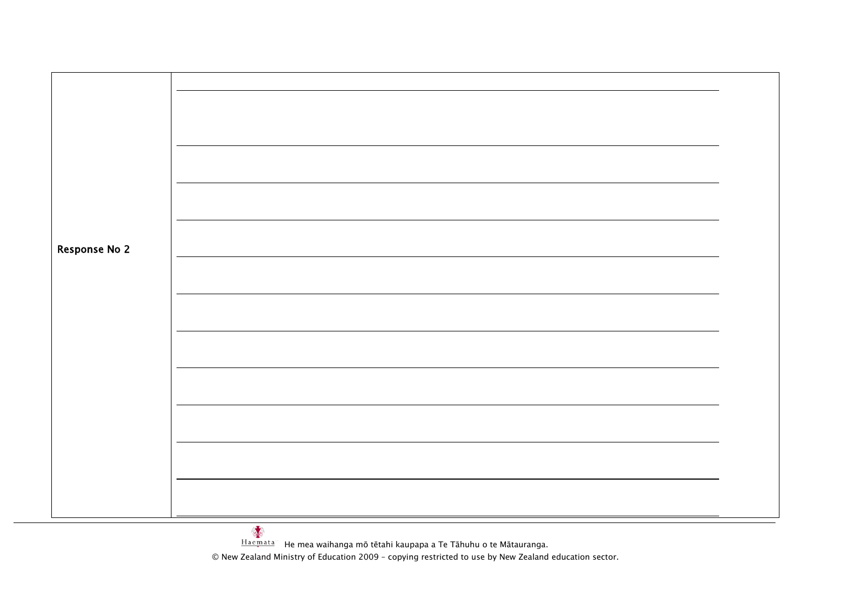| <b>Response No 2</b> |  |
|----------------------|--|
|                      |  |
|                      |  |
|                      |  |
|                      |  |
|                      |  |
|                      |  |
|                      |  |
|                      |  |
|                      |  |
|                      |  |
|                      |  |
|                      |  |
|                      |  |
|                      |  |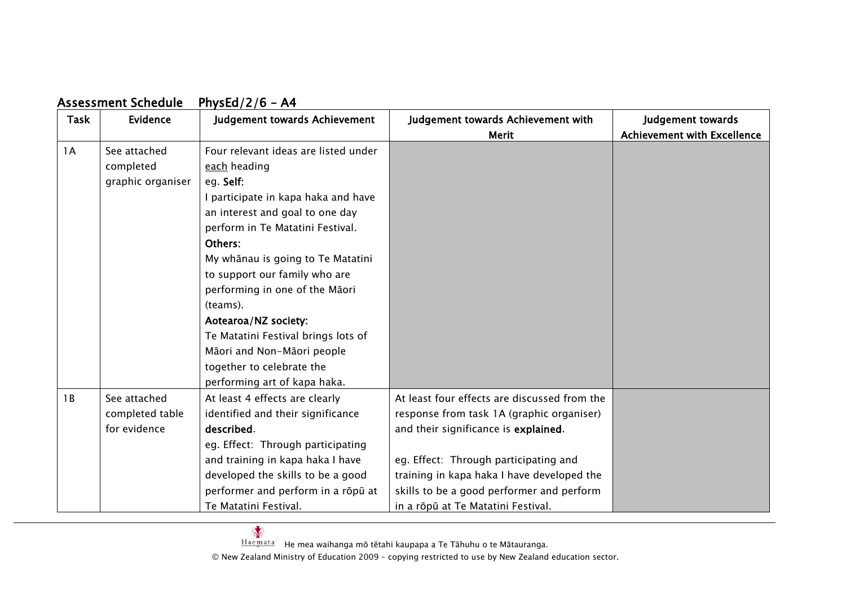# Assessment Schedule PhysEd/2/6 – A4

| Task | Evidence          | Judgement towards Achievement        | Judgement towards Achievement with           | Judgement towards                  |
|------|-------------------|--------------------------------------|----------------------------------------------|------------------------------------|
|      |                   |                                      | <b>Merit</b>                                 | <b>Achievement with Excellence</b> |
| 1A   | See attached      | Four relevant ideas are listed under |                                              |                                    |
|      | completed         | each heading                         |                                              |                                    |
|      | graphic organiser | eg. Self:                            |                                              |                                    |
|      |                   | I participate in kapa haka and have  |                                              |                                    |
|      |                   | an interest and goal to one day      |                                              |                                    |
|      |                   | perform in Te Matatini Festival.     |                                              |                                    |
|      |                   | Others:                              |                                              |                                    |
|      |                   | My whānau is going to Te Matatini    |                                              |                                    |
|      |                   | to support our family who are        |                                              |                                    |
|      |                   | performing in one of the Māori       |                                              |                                    |
|      |                   | (teams).                             |                                              |                                    |
|      |                   | Aotearoa/NZ society:                 |                                              |                                    |
|      |                   | Te Matatini Festival brings lots of  |                                              |                                    |
|      |                   | Māori and Non-Māori people           |                                              |                                    |
|      |                   | together to celebrate the            |                                              |                                    |
|      |                   | performing art of kapa haka.         |                                              |                                    |
| 1B   | See attached      | At least 4 effects are clearly       | At least four effects are discussed from the |                                    |
|      | completed table   | identified and their significance    | response from task 1A (graphic organiser)    |                                    |
|      | for evidence      | described.                           | and their significance is explained.         |                                    |
|      |                   | eg. Effect: Through participating    |                                              |                                    |
|      |                   | and training in kapa haka I have     | eg. Effect: Through participating and        |                                    |
|      |                   | developed the skills to be a good    | training in kapa haka I have developed the   |                                    |
|      |                   | performer and perform in a rōpū at   | skills to be a good performer and perform    |                                    |
|      |                   | Te Matatini Festival.                | in a rōpū at Te Matatini Festival.           |                                    |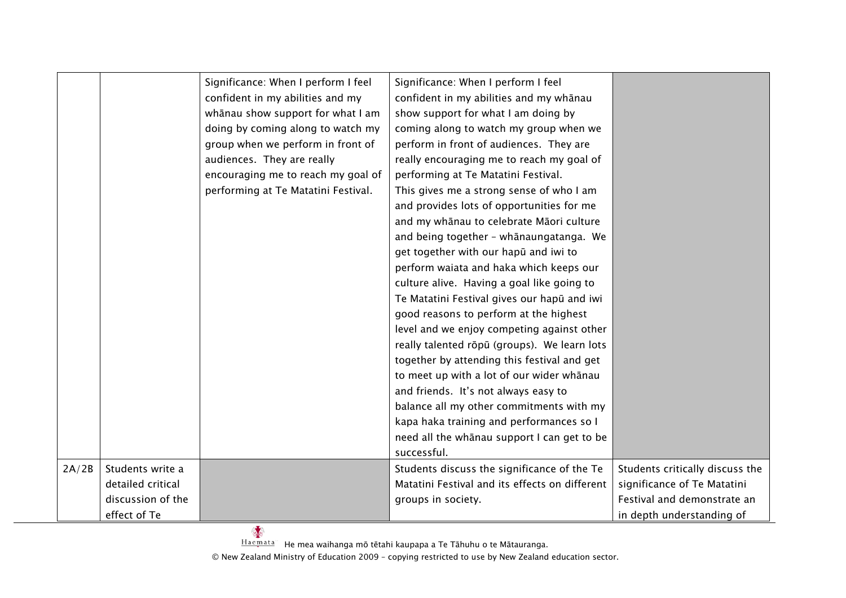|       |                                                            | Significance: When I perform I feel<br>confident in my abilities and my<br>whānau show support for what I am<br>doing by coming along to watch my<br>group when we perform in front of<br>audiences. They are really<br>encouraging me to reach my goal of<br>performing at Te Matatini Festival. | Significance: When I perform I feel<br>confident in my abilities and my whānau<br>show support for what I am doing by<br>coming along to watch my group when we<br>perform in front of audiences. They are<br>really encouraging me to reach my goal of<br>performing at Te Matatini Festival.<br>This gives me a strong sense of who I am<br>and provides lots of opportunities for me<br>and my whānau to celebrate Māori culture<br>and being together - whānaungatanga. We<br>get together with our hapū and iwi to<br>perform waiata and haka which keeps our<br>culture alive. Having a goal like going to<br>Te Matatini Festival gives our hapū and iwi<br>good reasons to perform at the highest<br>level and we enjoy competing against other<br>really talented rōpū (groups). We learn lots<br>together by attending this festival and get<br>to meet up with a lot of our wider whānau<br>and friends. It's not always easy to<br>balance all my other commitments with my<br>kapa haka training and performances so I<br>need all the whanau support I can get to be<br>successful. |                                                                                               |
|-------|------------------------------------------------------------|---------------------------------------------------------------------------------------------------------------------------------------------------------------------------------------------------------------------------------------------------------------------------------------------------|---------------------------------------------------------------------------------------------------------------------------------------------------------------------------------------------------------------------------------------------------------------------------------------------------------------------------------------------------------------------------------------------------------------------------------------------------------------------------------------------------------------------------------------------------------------------------------------------------------------------------------------------------------------------------------------------------------------------------------------------------------------------------------------------------------------------------------------------------------------------------------------------------------------------------------------------------------------------------------------------------------------------------------------------------------------------------------------------------|-----------------------------------------------------------------------------------------------|
| 2A/2B | Students write a<br>detailed critical<br>discussion of the |                                                                                                                                                                                                                                                                                                   | Students discuss the significance of the Te<br>Matatini Festival and its effects on different<br>groups in society.                                                                                                                                                                                                                                                                                                                                                                                                                                                                                                                                                                                                                                                                                                                                                                                                                                                                                                                                                                               | Students critically discuss the<br>significance of Te Matatini<br>Festival and demonstrate an |
|       | effect of Te                                               |                                                                                                                                                                                                                                                                                                   |                                                                                                                                                                                                                                                                                                                                                                                                                                                                                                                                                                                                                                                                                                                                                                                                                                                                                                                                                                                                                                                                                                   | in depth understanding of                                                                     |

Haemata He mea waihanga mō tētahi kaupapa a Te Tāhuhu o te Mātauranga.<br>Haemata He mea waihanga mō tētahi kaupapa a Te Tāhuhu o te Mātauranga.

© New Zealand Ministry of Education 2009 – copying restricted to use by New Zealand education sector.